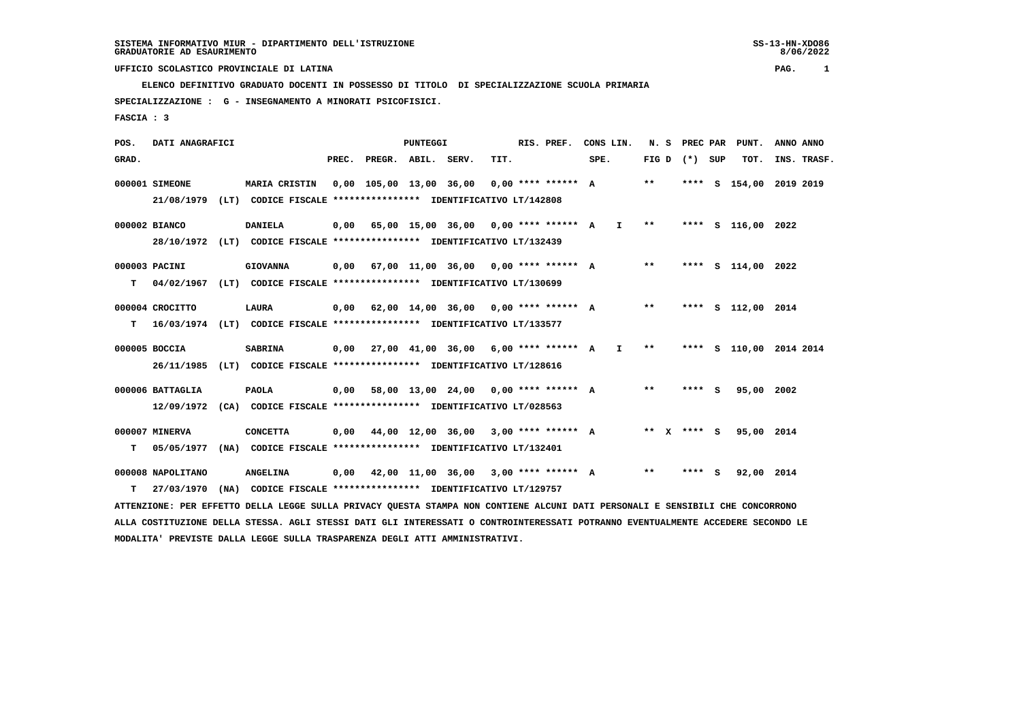**ELENCO DEFINITIVO GRADUATO DOCENTI IN POSSESSO DI TITOLO DI SPECIALIZZAZIONE SCUOLA PRIMARIA SPECIALIZZAZIONE : G - INSEGNAMENTO A MINORATI PSICOFISICI.**

 **FASCIA : 3**

| POS.  | DATI ANAGRAFICI   |      |                                                                          |       |                    | PUNTEGGI |                                              |      | RIS. PREF. | CONS LIN. |              | N.S   |                   |     | PREC PAR PUNT.          | ANNO ANNO |             |
|-------|-------------------|------|--------------------------------------------------------------------------|-------|--------------------|----------|----------------------------------------------|------|------------|-----------|--------------|-------|-------------------|-----|-------------------------|-----------|-------------|
| GRAD. |                   |      |                                                                          | PREC. | PREGR. ABIL. SERV. |          |                                              | TIT. |            | SPE.      |              |       | FIG $D$ $(*)$ SUP |     | TOT.                    |           | INS. TRASF. |
|       | 000001 SIMEONE    |      | MARIA CRISTIN                                                            |       |                    |          | $0.00$ 105.00 13.00 36.00 0.00 **** ****** A |      |            |           |              | $* *$ |                   |     | **** S 154,00 2019 2019 |           |             |
|       | 21/08/1979        |      | (LT) CODICE FISCALE *************** IDENTIFICATIVO LT/142808             |       |                    |          |                                              |      |            |           |              |       |                   |     |                         |           |             |
|       | 000002 BIANCO     |      | <b>DANIELA</b>                                                           | 0,00  |                    |          | 65,00 15,00 36,00 0,00 **** ****** A I       |      |            |           |              | $* *$ |                   |     | **** S 116,00 2022      |           |             |
|       |                   |      | 28/10/1972 (LT) CODICE FISCALE *************** IDENTIFICATIVO LT/132439  |       |                    |          |                                              |      |            |           |              |       |                   |     |                         |           |             |
|       | 000003 PACINI     |      | <b>GIOVANNA</b>                                                          |       |                    |          | $0.00$ 67.00 11.00 36.00 0.00 **** ****** A  |      |            |           |              | $* *$ |                   |     | **** S 114,00 2022      |           |             |
| т     | 04/02/1967        |      | (LT) CODICE FISCALE *************** IDENTIFICATIVO LT/130699             |       |                    |          |                                              |      |            |           |              |       |                   |     |                         |           |             |
|       | 000004 CROCITTO   |      | LAURA                                                                    |       |                    |          | $0,00$ 62,00 14,00 36,00 0,00 **** ****** A  |      |            |           |              | $***$ |                   |     | **** S 112,00 2014      |           |             |
| т     |                   |      | 16/03/1974 (LT) CODICE FISCALE **************** IDENTIFICATIVO LT/133577 |       |                    |          |                                              |      |            |           |              |       |                   |     |                         |           |             |
|       | 000005 BOCCIA     |      | <b>SABRINA</b>                                                           |       |                    |          | $0,00$ 27,00 41,00 36,00 6,00 **** ****** A  |      |            |           | $\mathbf{I}$ | $***$ |                   |     | **** S 110,00 2014 2014 |           |             |
|       | 26/11/1985        | (LT) | CODICE FISCALE **************** IDENTIFICATIVO LT/128616                 |       |                    |          |                                              |      |            |           |              |       |                   |     |                         |           |             |
|       | 000006 BATTAGLIA  |      | <b>PAOLA</b>                                                             | 0,00  |                    |          | 58,00 13,00 24,00 0,00 **** ****** A         |      |            |           |              | $* *$ | **** S            |     | 95,00 2002              |           |             |
|       | 12/09/1972        |      | (CA) CODICE FISCALE **************** IDENTIFICATIVO LT/028563            |       |                    |          |                                              |      |            |           |              |       |                   |     |                         |           |             |
|       | 000007 MINERVA    |      | <b>CONCETTA</b>                                                          |       |                    |          | $0,00$ 44,00 12,00 36,00 3,00 **** ****** A  |      |            |           |              |       | ** x **** s       |     | 95,00 2014              |           |             |
| т     | 05/05/1977        |      | (NA) CODICE FISCALE **************** IDENTIFICATIVO LT/132401            |       |                    |          |                                              |      |            |           |              |       |                   |     |                         |           |             |
|       | 000008 NAPOLITANO |      | <b>ANGELINA</b>                                                          | 0,00  |                    |          | 42,00 11,00 36,00 3,00 **** ****** A         |      |            |           |              | **    | ****              | - 5 | 92,00 2014              |           |             |
| т     | 27/03/1970        |      | (NA) CODICE FISCALE **************** IDENTIFICATIVO LT/129757            |       |                    |          |                                              |      |            |           |              |       |                   |     |                         |           |             |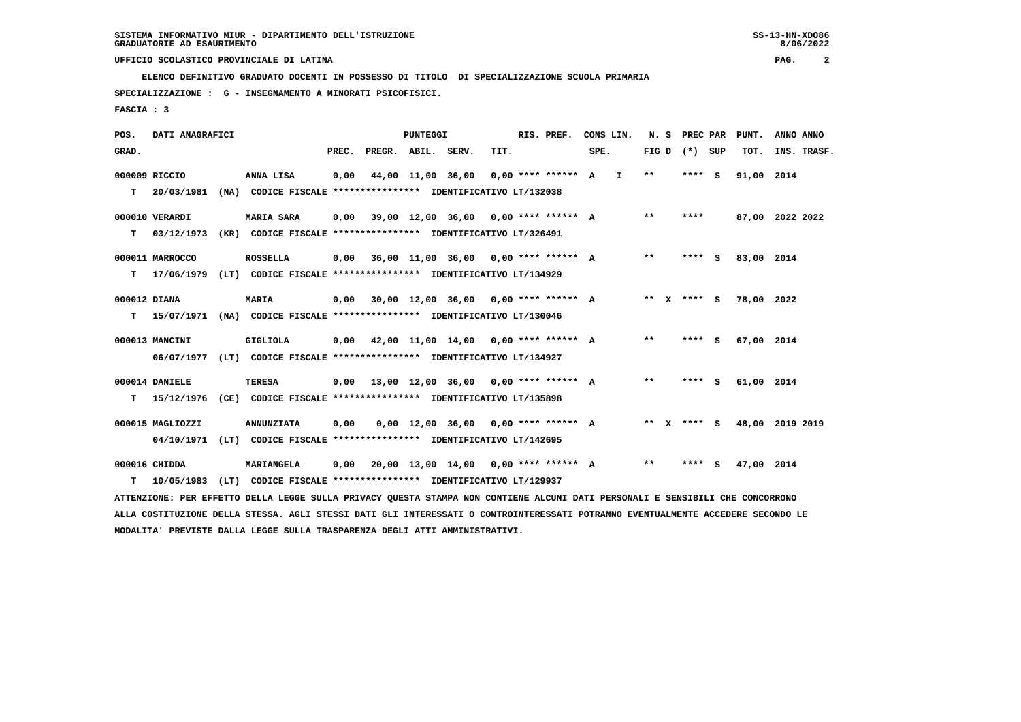**ELENCO DEFINITIVO GRADUATO DOCENTI IN POSSESSO DI TITOLO DI SPECIALIZZAZIONE SCUOLA PRIMARIA**

 **SPECIALIZZAZIONE : G - INSEGNAMENTO A MINORATI PSICOFISICI.**

 **FASCIA : 3**

| POS.         | DATI ANAGRAFICI  |      |                                                                                                                               |       |                    | <b>PUNTEGGI</b>   |                                             |      | RIS. PREF.          |      | CONS LIN. | N.S   | PREC PAR        | PUNT.                       | ANNO ANNO |             |
|--------------|------------------|------|-------------------------------------------------------------------------------------------------------------------------------|-------|--------------------|-------------------|---------------------------------------------|------|---------------------|------|-----------|-------|-----------------|-----------------------------|-----------|-------------|
| GRAD.        |                  |      |                                                                                                                               | PREC. | PREGR. ABIL. SERV. |                   |                                             | TIT. |                     | SPE. |           |       | FIG D $(*)$ SUP | TOT.                        |           | INS. TRASF. |
|              | 000009 RICCIO    |      | ANNA LISA                                                                                                                     | 0,00  |                    | 44,00 11,00 36,00 |                                             |      | $0.00*********$ A I |      |           | $***$ | **** S          | 91,00 2014                  |           |             |
| т            | 20/03/1981       |      | (NA) CODICE FISCALE **************** IDENTIFICATIVO LT/132038                                                                 |       |                    |                   |                                             |      |                     |      |           |       |                 |                             |           |             |
|              | 000010 VERARDI   |      | <b>MARIA SARA</b>                                                                                                             | 0.00  |                    |                   | 39,00 12,00 36,00 0,00 **** ****** A        |      |                     |      |           | $* *$ | ****            | 87,00 2022 2022             |           |             |
| т            | 03/12/1973       |      | (KR) CODICE FISCALE **************** IDENTIFICATIVO LT/326491                                                                 |       |                    |                   |                                             |      |                     |      |           |       |                 |                             |           |             |
|              | 000011 MARROCCO  |      | <b>ROSSELLA</b>                                                                                                               |       |                    |                   | $0,00$ 36,00 11,00 36,00 0,00 **** ****** A |      |                     |      |           | $**$  | **** S          | 83,00 2014                  |           |             |
| т            | 17/06/1979       |      | (LT) CODICE FISCALE **************** IDENTIFICATIVO LT/134929                                                                 |       |                    |                   |                                             |      |                     |      |           |       |                 |                             |           |             |
| 000012 DIANA |                  |      | <b>MARIA</b>                                                                                                                  | 0.00  |                    |                   | $30,00$ 12,00 36,00 0,00 **** ****** A      |      |                     |      |           |       | ** X **** S     | 78,00 2022                  |           |             |
| т            | 15/07/1971       |      | (NA) CODICE FISCALE **************** IDENTIFICATIVO LT/130046                                                                 |       |                    |                   |                                             |      |                     |      |           |       |                 |                             |           |             |
|              | 000013 MANCINI   |      | GIGLIOLA                                                                                                                      | 0,00  |                    |                   | 42,00 11,00 14,00 0,00 **** ****** A        |      |                     |      |           | $***$ | **** S          | 67,00 2014                  |           |             |
|              | 06/07/1977       |      | (LT) CODICE FISCALE **************** IDENTIFICATIVO LT/134927                                                                 |       |                    |                   |                                             |      |                     |      |           |       |                 |                             |           |             |
|              | 000014 DANIELE   |      | TERESA                                                                                                                        |       |                    |                   | $0,00$ 13,00 12,00 36,00 0,00 **** ****** A |      |                     |      |           | $***$ | $***$ S         | 61,00 2014                  |           |             |
| т            | 15/12/1976       |      | (CE) CODICE FISCALE **************** IDENTIFICATIVO LT/135898                                                                 |       |                    |                   |                                             |      |                     |      |           |       |                 |                             |           |             |
|              | 000015 MAGLIOZZI |      | <b>ANNUNZIATA</b>                                                                                                             | 0,00  |                    |                   | $0,00$ 12,00 36,00 0,00 **** ****** A       |      |                     |      |           |       |                 | ** X **** S 48,00 2019 2019 |           |             |
|              | 04/10/1971       |      | (LT) CODICE FISCALE **************** IDENTIFICATIVO LT/142695                                                                 |       |                    |                   |                                             |      |                     |      |           |       |                 |                             |           |             |
|              | 000016 CHIDDA    |      | MARIANGELA                                                                                                                    |       |                    |                   | $0,00$ 20,00 13,00 14,00 0,00 **** ****** A |      |                     |      |           | $***$ | **** S          | 47,00 2014                  |           |             |
| т            | 10/05/1983       | (LT) | CODICE FISCALE **************** IDENTIFICATIVO LT/129937                                                                      |       |                    |                   |                                             |      |                     |      |           |       |                 |                             |           |             |
|              |                  |      | ATTENZIONE: PER EFFETTO DELLA LEGGE SULLA PRIVACY QUESTA STAMPA NON CONTIENE ALCUNI DATI PERSONALI E SENSIBILI CHE CONCORRONO |       |                    |                   |                                             |      |                     |      |           |       |                 |                             |           |             |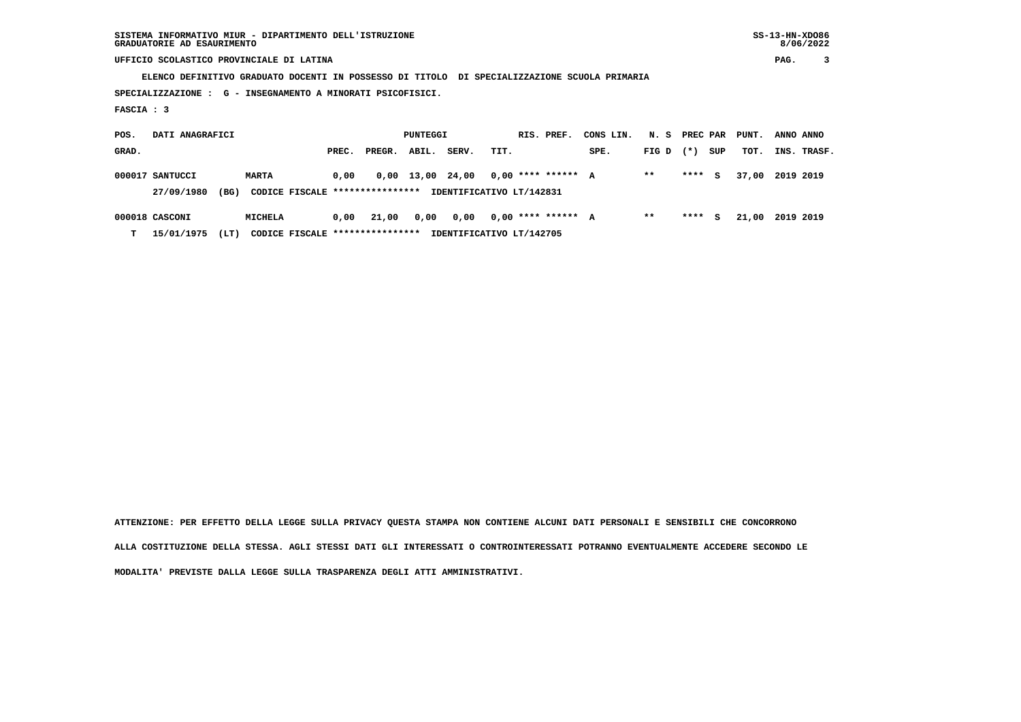**SISTEMA INFORMATIVO MIUR - DIPARTIMENTO DELL'ISTRUZIONE SS-13-HN-XDO86 GRADUATORIE AD ESAURIMENTO 8/06/2022**

 **UFFICIO SCOLASTICO PROVINCIALE DI LATINA PAG. 3**

 **ELENCO DEFINITIVO GRADUATO DOCENTI IN POSSESSO DI TITOLO DI SPECIALIZZAZIONE SCUOLA PRIMARIA**

 **SPECIALIZZAZIONE : G - INSEGNAMENTO A MINORATI PSICOFISICI.**

 **FASCIA : 3**

| POS.  | DATI ANAGRAFICI    |                                 |       |        | PUNTEGGI         |       |      | RIS. PREF.               | CONS LIN. | N. S PREC PAR |        |     | PUNT. | ANNO ANNO   |  |
|-------|--------------------|---------------------------------|-------|--------|------------------|-------|------|--------------------------|-----------|---------------|--------|-----|-------|-------------|--|
| GRAD. |                    |                                 | PREC. | PREGR. | ABIL.            | SERV. | TIT. |                          | SPE.      | FIG D $(*)$   |        | SUP | TOT.  | INS. TRASF. |  |
|       | 000017 SANTUCCI    | <b>MARTA</b>                    | 0.00  |        | 0,00 13,00 24,00 |       |      | $0.00$ **** ****** A     |           | $* *$         | **** S |     | 37.00 | 2019 2019   |  |
|       | (BG)<br>27/09/1980 | CODICE FISCALE **************** |       |        |                  |       |      | IDENTIFICATIVO LT/142831 |           |               |        |     |       |             |  |
|       | 000018 CASCONI     | <b>MICHELA</b>                  | 0,00  | 21,00  | 0,00             | 0,00  |      | $0.00$ **** ****** A     |           | **            | ****   | S.  | 21,00 | 2019 2019   |  |

 **T 15/01/1975 (LT) CODICE FISCALE \*\*\*\*\*\*\*\*\*\*\*\*\*\*\*\* IDENTIFICATIVO LT/142705**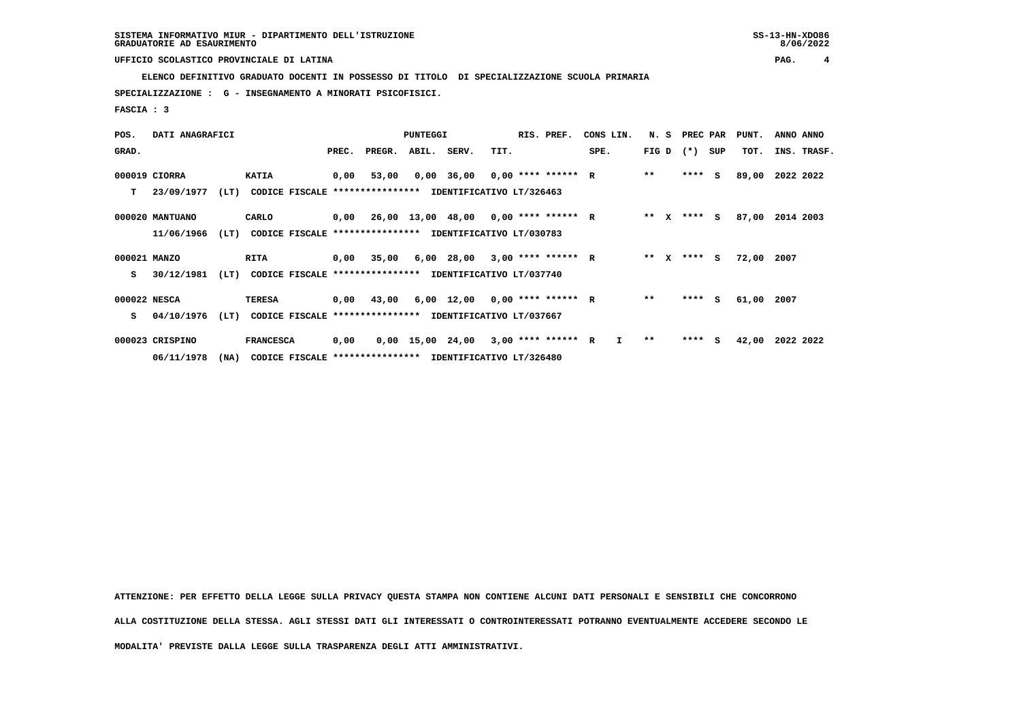**ELENCO DEFINITIVO GRADUATO DOCENTI IN POSSESSO DI TITOLO DI SPECIALIZZAZIONE SCUOLA PRIMARIA**

 **SPECIALIZZAZIONE : G - INSEGNAMENTO A MINORATI PSICOFISICI.**

 **FASCIA : 3**

| POS.         | DATI ANAGRAFICI |      |                                                          |       |                                             | <b>PUNTEGGI</b> |                                       |      | RIS. PREF. | CONS LIN.    |              | N. S PREC PAR |     | PUNT. | ANNO ANNO   |
|--------------|-----------------|------|----------------------------------------------------------|-------|---------------------------------------------|-----------------|---------------------------------------|------|------------|--------------|--------------|---------------|-----|-------|-------------|
| GRAD.        |                 |      |                                                          | PREC. | PREGR.                                      | ABIL.           | SERV.                                 | TIT. |            | SPE.         | FIG D        | $(*)$         | SUP | TOT.  | INS. TRASF. |
|              | 000019 CIORRA   |      | <b>KATIA</b>                                             | 0,00  | 53,00                                       |                 | $0,00$ 36,00 0,00 **** ****** R       |      |            |              | $* *$        | $***$ S       |     | 89,00 | 2022 2022   |
| т            | 23/09/1977      | (LT) | CODICE FISCALE **************** IDENTIFICATIVO LT/326463 |       |                                             |                 |                                       |      |            |              |              |               |     |       |             |
|              | 000020 MANTUANO |      | CARLO                                                    |       | $0,00$ 26,00 13,00 48,00 0,00 **** ****** R |                 |                                       |      |            |              | $***$ X      | **** S        |     | 87,00 | 2014 2003   |
|              | 11/06/1966      | (LT) | CODICE FISCALE **************** IDENTIFICATIVO LT/030783 |       |                                             |                 |                                       |      |            |              |              |               |     |       |             |
| 000021 MANZO |                 |      | <b>RITA</b>                                              |       | 0,00 35,00                                  |                 | 6,00 28,00 3,00 **** ****** R         |      |            |              | ** X         | **** S        |     | 72,00 | 2007        |
| s            | 30/12/1981      | (LT) | CODICE FISCALE **************** IDENTIFICATIVO LT/037740 |       |                                             |                 |                                       |      |            |              |              |               |     |       |             |
| 000022 NESCA |                 |      | TERESA                                                   |       | $0,00$ 43,00                                |                 | $6,00$ 12,00 0,00 **** ****** R       |      |            |              | $* *$        | ****          | - S | 61,00 | 2007        |
| s            | 04/10/1976      | (LT) | CODICE FISCALE **************** IDENTIFICATIVO LT/037667 |       |                                             |                 |                                       |      |            |              |              |               |     |       |             |
|              | 000023 CRISPINO |      | <b>FRANCESCA</b>                                         | 0,00  |                                             |                 | $0,00$ 15,00 24,00 3,00 **** ****** R |      |            | $\mathbf{I}$ | $\star\star$ | $***$ S       |     | 42,00 | 2022 2022   |
|              | 06/11/1978      | (MA) | CODICE FISCALE **************** IDENTIFICATIVO LT/326480 |       |                                             |                 |                                       |      |            |              |              |               |     |       |             |

 **ATTENZIONE: PER EFFETTO DELLA LEGGE SULLA PRIVACY QUESTA STAMPA NON CONTIENE ALCUNI DATI PERSONALI E SENSIBILI CHE CONCORRONO ALLA COSTITUZIONE DELLA STESSA. AGLI STESSI DATI GLI INTERESSATI O CONTROINTERESSATI POTRANNO EVENTUALMENTE ACCEDERE SECONDO LE**

 **MODALITA' PREVISTE DALLA LEGGE SULLA TRASPARENZA DEGLI ATTI AMMINISTRATIVI.**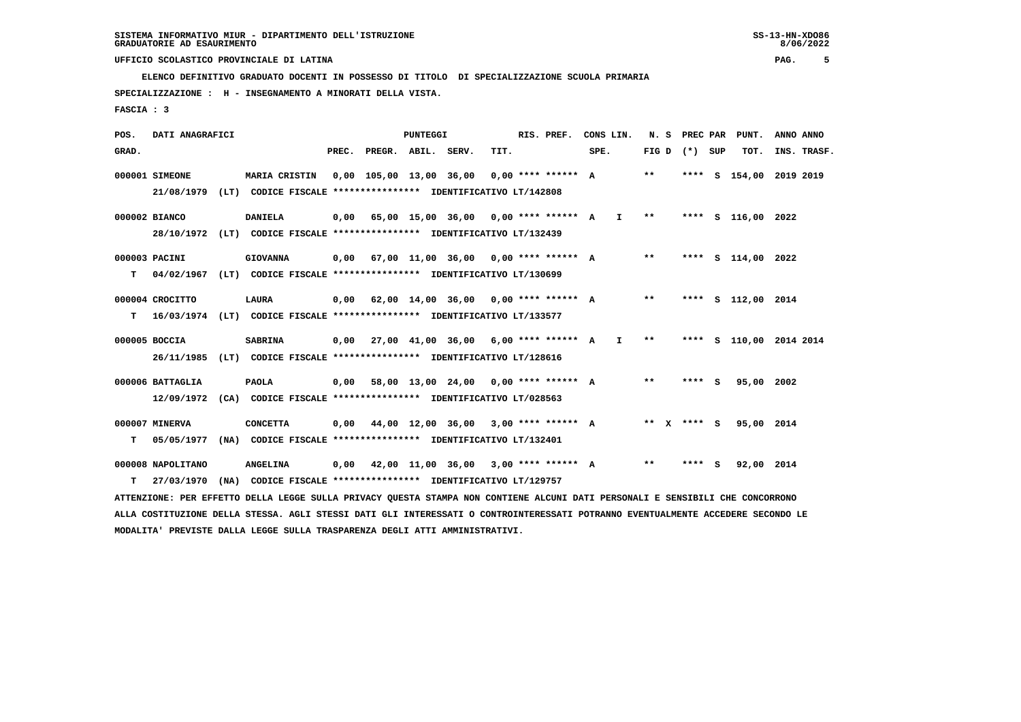**ELENCO DEFINITIVO GRADUATO DOCENTI IN POSSESSO DI TITOLO DI SPECIALIZZAZIONE SCUOLA PRIMARIA**

 **SPECIALIZZAZIONE : H - INSEGNAMENTO A MINORATI DELLA VISTA.**

 **FASCIA : 3**

| POS.  | DATI ANAGRAFICI                |                                                                                                                               |      |                          | <b>PUNTEGGI</b> |                                             |      | RIS. PREF. |      | CONS LIN.    | N.S          |                 | PREC PAR PUNT.          | ANNO ANNO |             |
|-------|--------------------------------|-------------------------------------------------------------------------------------------------------------------------------|------|--------------------------|-----------------|---------------------------------------------|------|------------|------|--------------|--------------|-----------------|-------------------------|-----------|-------------|
| GRAD. |                                |                                                                                                                               |      | PREC. PREGR. ABIL. SERV. |                 |                                             | TIT. |            | SPE. |              |              | FIG D $(*)$ SUP | TOT.                    |           | INS. TRASF. |
|       | 000001 SIMEONE                 | MARIA CRISTIN                                                                                                                 |      |                          |                 | 0,00 105,00 13,00 36,00 0,00 **** ****** A  |      |            |      |              | $* *$        |                 | **** S 154,00 2019 2019 |           |             |
|       | 21/08/1979                     | (LT) CODICE FISCALE **************** IDENTIFICATIVO LT/142808                                                                 |      |                          |                 |                                             |      |            |      |              |              |                 |                         |           |             |
|       | 000002 BIANCO                  | <b>DANIELA</b>                                                                                                                |      |                          |                 | $0,00$ 65,00 15,00 36,00 0,00 **** ****** A |      |            |      | $\mathbf{I}$ | $* *$        |                 | **** S 116,00 2022      |           |             |
|       |                                | 28/10/1972 (LT) CODICE FISCALE *************** IDENTIFICATIVO LT/132439                                                       |      |                          |                 |                                             |      |            |      |              |              |                 |                         |           |             |
|       | 000003 PACINI                  | <b>GIOVANNA</b>                                                                                                               |      |                          |                 | $0,00$ 67,00 11,00 36,00 0,00 **** ****** A |      |            |      |              | $***$        |                 | **** S 114,00 2022      |           |             |
| т     | 04/02/1967                     | (LT) CODICE FISCALE **************** IDENTIFICATIVO LT/130699                                                                 |      |                          |                 |                                             |      |            |      |              |              |                 |                         |           |             |
|       | 000004 CROCITTO                | LAURA                                                                                                                         |      |                          |                 | $0,00$ 62,00 14,00 36,00 0,00 **** ****** A |      |            |      |              | $**$         |                 | **** S 112,00 2014      |           |             |
| T.    |                                | 16/03/1974 (LT) CODICE FISCALE *************** IDENTIFICATIVO LT/133577                                                       |      |                          |                 |                                             |      |            |      |              |              |                 |                         |           |             |
|       | 000005 BOCCIA                  | <b>SABRINA</b>                                                                                                                |      |                          |                 | $0,00$ 27,00 41,00 36,00 6,00 **** ****** A |      |            |      | $\mathbf{I}$ | $\star\star$ |                 | **** S 110,00 2014 2014 |           |             |
|       | 26/11/1985                     | (LT) CODICE FISCALE **************** IDENTIFICATIVO LT/128616                                                                 |      |                          |                 |                                             |      |            |      |              |              |                 |                         |           |             |
|       |                                |                                                                                                                               |      |                          |                 |                                             |      |            |      |              | $* *$        | **** S          |                         |           |             |
|       | 000006 BATTAGLIA<br>12/09/1972 | <b>PAOLA</b><br>(CA) CODICE FISCALE **************** IDENTIFICATIVO LT/028563                                                 | 0,00 |                          |                 | 58,00 13,00 24,00 0,00 **** ****** A        |      |            |      |              |              |                 | 95,00 2002              |           |             |
|       |                                |                                                                                                                               |      |                          |                 |                                             |      |            |      |              |              |                 |                         |           |             |
|       | 000007 MINERVA                 | <b>CONCETTA</b>                                                                                                               | 0,00 |                          |                 | 44,00 12,00 36,00 3,00 **** ****** A        |      |            |      |              |              | ** x **** s     | 95,00 2014              |           |             |
| т     | 05/05/1977                     | (NA) CODICE FISCALE **************** IDENTIFICATIVO LT/132401                                                                 |      |                          |                 |                                             |      |            |      |              |              |                 |                         |           |             |
|       | 000008 NAPOLITANO              | <b>ANGELINA</b>                                                                                                               |      |                          |                 | $0,00$ 42,00 11,00 36,00 3,00 **** ****** A |      |            |      |              | $***$        | **** S          | 92,00 2014              |           |             |
| т     | 27/03/1970                     | (NA) CODICE FISCALE **************** IDENTIFICATIVO LT/129757                                                                 |      |                          |                 |                                             |      |            |      |              |              |                 |                         |           |             |
|       |                                | ATTENZIONE: PER EFFETTO DELLA LEGGE SULLA PRIVACY OUESTA STAMPA NON CONTIENE ALCUNI DATI PERSONALI E SENSIBILI CHE CONCORRONO |      |                          |                 |                                             |      |            |      |              |              |                 |                         |           |             |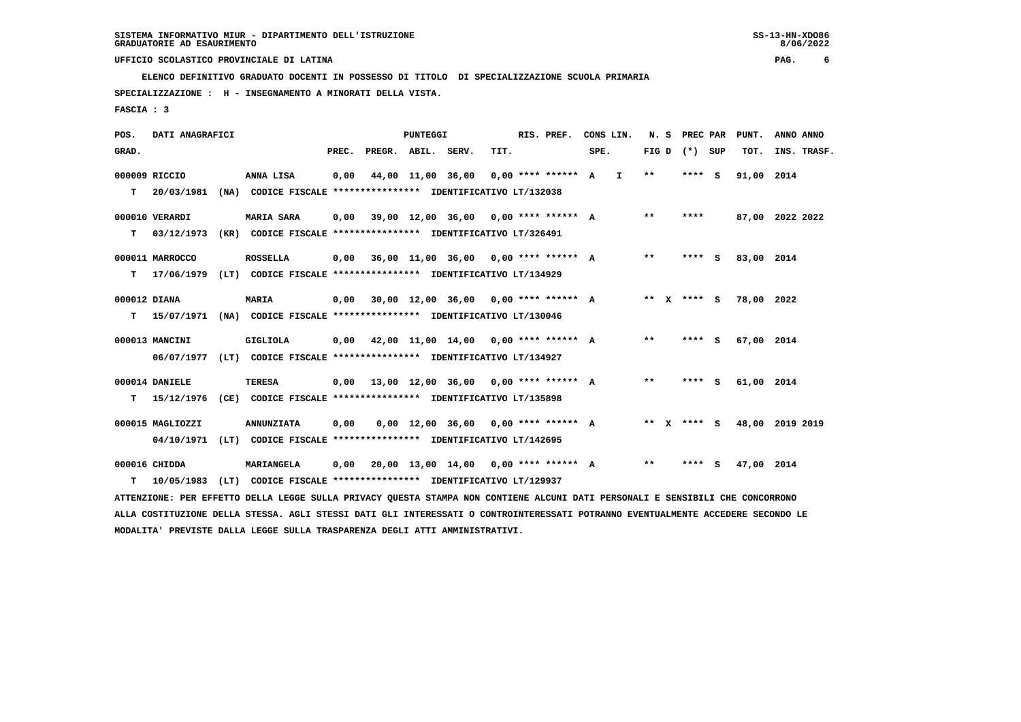**ELENCO DEFINITIVO GRADUATO DOCENTI IN POSSESSO DI TITOLO DI SPECIALIZZAZIONE SCUOLA PRIMARIA**

 **SPECIALIZZAZIONE : H - INSEGNAMENTO A MINORATI DELLA VISTA.**

 **FASCIA : 3**

| POS.         | DATI ANAGRAFICI  |      |                                                                                                                               |       |                    | PUNTEGGI          |                                           |      | RIS. PREF.          |      | CONS LIN. |         | N. S PREC PAR   | PUNT.           | ANNO ANNO |             |
|--------------|------------------|------|-------------------------------------------------------------------------------------------------------------------------------|-------|--------------------|-------------------|-------------------------------------------|------|---------------------|------|-----------|---------|-----------------|-----------------|-----------|-------------|
| GRAD.        |                  |      |                                                                                                                               | PREC. | PREGR. ABIL. SERV. |                   |                                           | TIT. |                     | SPE. |           |         | FIG D $(*)$ SUP | TOT.            |           | INS. TRASF. |
|              | 000009 RICCIO    |      | ANNA LISA                                                                                                                     | 0,00  |                    | 44,00 11,00 36,00 |                                           |      | $0.00********* A I$ |      |           | $***$   | **** S          | 91,00 2014      |           |             |
| T.           | 20/03/1981       |      | (NA) CODICE FISCALE **************** IDENTIFICATIVO LT/132038                                                                 |       |                    |                   |                                           |      |                     |      |           |         |                 |                 |           |             |
|              | 000010 VERARDI   |      | <b>MARIA SARA</b>                                                                                                             | 0,00  |                    |                   | 39,00 12,00 36,00 0,00 **** ****** A      |      |                     |      |           | $* *$   | ****            | 87,00 2022 2022 |           |             |
| т            | 03/12/1973       |      | (KR) CODICE FISCALE **************** IDENTIFICATIVO LT/326491                                                                 |       |                    |                   |                                           |      |                     |      |           |         |                 |                 |           |             |
|              | 000011 MARROCCO  |      | <b>ROSSELLA</b>                                                                                                               | 0.00  |                    |                   | 36,00 11,00 36,00 0,00 **** ****** A      |      |                     |      |           | $* *$   | $***$ S         | 83,00 2014      |           |             |
| T.           | 17/06/1979       |      | (LT) CODICE FISCALE **************** IDENTIFICATIVO LT/134929                                                                 |       |                    |                   |                                           |      |                     |      |           |         |                 |                 |           |             |
| 000012 DIANA |                  |      | <b>MARIA</b>                                                                                                                  | 0,00  |                    |                   | 30,00 12,00 36,00 0,00 **** ****** A      |      |                     |      |           |         | ** x **** s     | 78,00 2022      |           |             |
|              | T 15/07/1971     |      | (NA) CODICE FISCALE **************** IDENTIFICATIVO LT/130046                                                                 |       |                    |                   |                                           |      |                     |      |           |         |                 |                 |           |             |
|              | 000013 MANCINI   |      | <b>GIGLIOLA</b>                                                                                                               | 0.00  |                    |                   | 42,00 11,00 14,00 0,00 **** ****** A      |      |                     |      |           | $* *$   | **** S          | 67,00 2014      |           |             |
|              | 06/07/1977       |      | (LT) CODICE FISCALE **************** IDENTIFICATIVO LT/134927                                                                 |       |                    |                   |                                           |      |                     |      |           |         |                 |                 |           |             |
|              | 000014 DANIELE   |      | <b>TERESA</b>                                                                                                                 |       |                    |                   | 0,00 13,00 12,00 36,00 0,00 **** ****** A |      |                     |      |           | $***$   | $***5$          | 61,00 2014      |           |             |
| т            | 15/12/1976       |      | (CE) CODICE FISCALE **************** IDENTIFICATIVO LT/135898                                                                 |       |                    |                   |                                           |      |                     |      |           |         |                 |                 |           |             |
|              | 000015 MAGLIOZZI |      | <b>ANNUNZIATA</b>                                                                                                             | 0,00  |                    |                   | $0.00$ 12.00 36.00 0.00 **** ****** A     |      |                     |      |           | $***$ X | **** $S$        | 48,00 2019 2019 |           |             |
|              |                  |      | 04/10/1971 (LT) CODICE FISCALE **************** IDENTIFICATIVO LT/142695                                                      |       |                    |                   |                                           |      |                     |      |           |         |                 |                 |           |             |
|              | 000016 CHIDDA    |      | <b>MARIANGELA</b>                                                                                                             | 0,00  |                    |                   | 20,00 13,00 14,00 0,00 **** ****** A      |      |                     |      |           | $* *$   | **** S          | 47,00 2014      |           |             |
| т            | 10/05/1983       | (LT) | CODICE FISCALE **************** IDENTIFICATIVO LT/129937                                                                      |       |                    |                   |                                           |      |                     |      |           |         |                 |                 |           |             |
|              |                  |      | ATTENZIONE: PER EFFETTO DELLA LEGGE SULLA PRIVACY OUESTA STAMPA NON CONTIENE ALCUNI DATI PERSONALI E SENSIBILI CHE CONCORRONO |       |                    |                   |                                           |      |                     |      |           |         |                 |                 |           |             |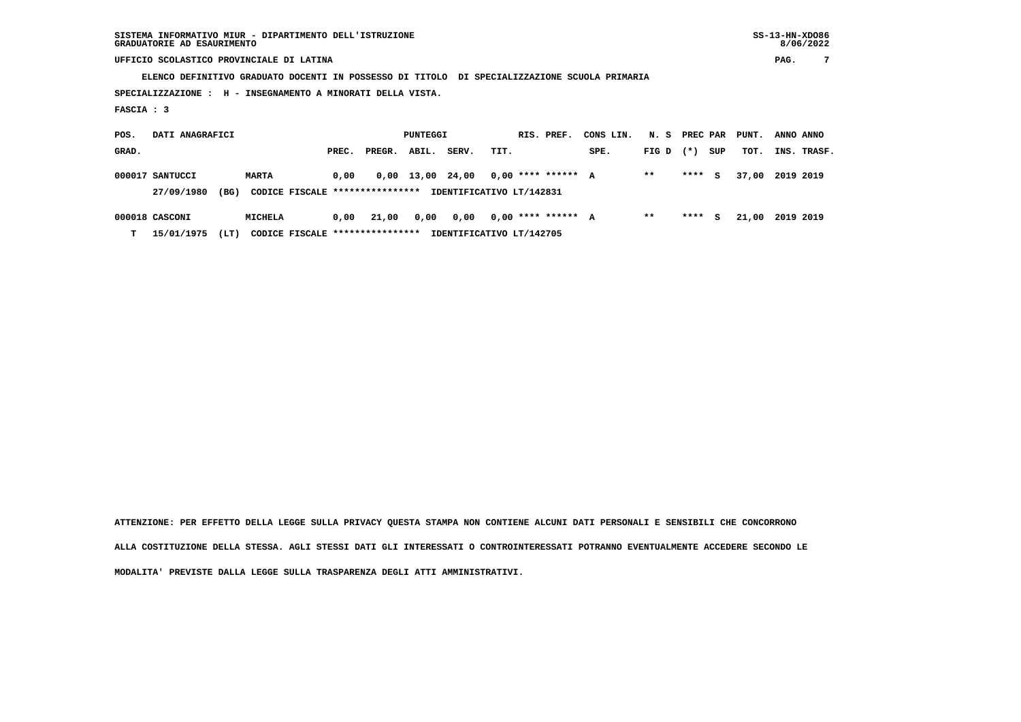**SISTEMA INFORMATIVO MIUR - DIPARTIMENTO DELL'ISTRUZIONE SS-13-HN-XDO86 GRADUATORIE AD ESAURIMENTO 8/06/2022**

 **UFFICIO SCOLASTICO PROVINCIALE DI LATINA PAG. 7**

 **ELENCO DEFINITIVO GRADUATO DOCENTI IN POSSESSO DI TITOLO DI SPECIALIZZAZIONE SCUOLA PRIMARIA**

 **SPECIALIZZAZIONE : H - INSEGNAMENTO A MINORATI DELLA VISTA.**

 **FASCIA : 3**

| POS.  | DATI ANAGRAFICI    |                                 |       |        | PUNTEGGI         |       |      | RIS. PREF.               | CONS LIN. | N. S PREC PAR |        |     | PUNT. | ANNO ANNO   |  |
|-------|--------------------|---------------------------------|-------|--------|------------------|-------|------|--------------------------|-----------|---------------|--------|-----|-------|-------------|--|
| GRAD. |                    |                                 | PREC. | PREGR. | ABIL.            | SERV. | TIT. |                          | SPE.      | $FIG D (*)$   |        | SUP | тот.  | INS. TRASF. |  |
|       | 000017 SANTUCCI    | <b>MARTA</b>                    | 0.00  |        | 0,00 13,00 24,00 |       |      | $0.00$ **** ****** A     |           | $* *$         | **** S |     | 37,00 | 2019 2019   |  |
|       | (BG)<br>27/09/1980 | CODICE FISCALE **************** |       |        |                  |       |      | IDENTIFICATIVO LT/142831 |           |               |        |     |       |             |  |
|       | 000018 CASCONI     | <b>MICHELA</b>                  | 0,00  | 21,00  | 0,00             | 0,00  |      | $0.00$ **** ****** A     |           | **            | ****   | S.  | 21,00 | 2019 2019   |  |

 **T 15/01/1975 (LT) CODICE FISCALE \*\*\*\*\*\*\*\*\*\*\*\*\*\*\*\* IDENTIFICATIVO LT/142705**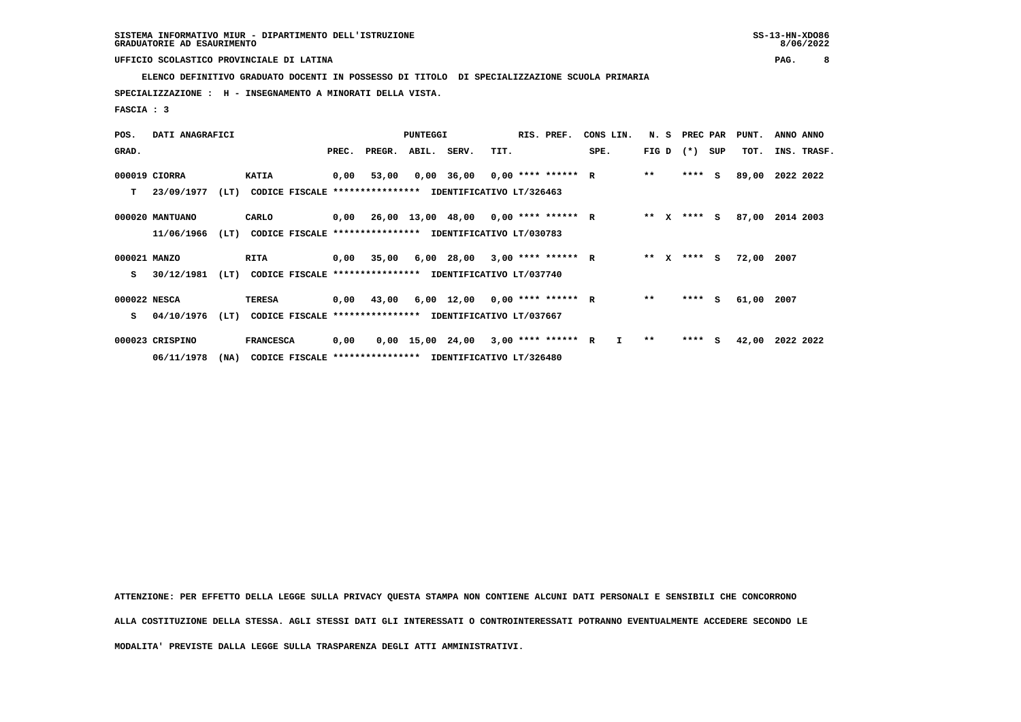**ELENCO DEFINITIVO GRADUATO DOCENTI IN POSSESSO DI TITOLO DI SPECIALIZZAZIONE SCUOLA PRIMARIA**

 **SPECIALIZZAZIONE : H - INSEGNAMENTO A MINORATI DELLA VISTA.**

 **FASCIA : 3**

| POS.         | DATI ANAGRAFICI |      |                                                          |       |                                             | <b>PUNTEGGI</b> |                                       |      | RIS. PREF. | CONS LIN.    |        | N. S PREC PAR |     | PUNT. | ANNO ANNO   |
|--------------|-----------------|------|----------------------------------------------------------|-------|---------------------------------------------|-----------------|---------------------------------------|------|------------|--------------|--------|---------------|-----|-------|-------------|
| GRAD.        |                 |      |                                                          | PREC. | PREGR.                                      | ABIL.           | SERV.                                 | TIT. |            | SPE.         | FIG D  | $(*)$         | SUP | TOT.  | INS. TRASF. |
|              | 000019 CIORRA   |      | <b>KATIA</b>                                             | 0,00  | 53,00                                       |                 | $0,00$ 36,00 0,00 **** ****** R       |      |            |              | $***$  | $***$ S       |     | 89,00 | 2022 2022   |
| т            | 23/09/1977      | (LT) | CODICE FISCALE **************** IDENTIFICATIVO LT/326463 |       |                                             |                 |                                       |      |            |              |        |               |     |       |             |
|              | 000020 MANTUANO |      | CARLO                                                    |       | $0,00$ 26,00 13,00 48,00 0,00 **** ****** R |                 |                                       |      |            |              | ** X   | **** S        |     | 87,00 | 2014 2003   |
|              | 11/06/1966      | (LT) | CODICE FISCALE **************** IDENTIFICATIVO LT/030783 |       |                                             |                 |                                       |      |            |              |        |               |     |       |             |
| 000021 MANZO |                 |      | RITA                                                     |       | 0,00 35,00                                  |                 | 6,00 28,00 3,00 **** ****** R         |      |            |              | ** $X$ | **** S        |     | 72,00 | 2007        |
| s            | 30/12/1981      | (LT) | CODICE FISCALE **************** IDENTIFICATIVO LT/037740 |       |                                             |                 |                                       |      |            |              |        |               |     |       |             |
| 000022 NESCA |                 |      | <b>TERESA</b>                                            |       | $0,00$ 43,00                                |                 | $6,00$ 12,00 0,00 **** ****** R       |      |            |              | $* *$  | $***$ S       |     | 61,00 | 2007        |
| s            | 04/10/1976      | (LT) | CODICE FISCALE **************** IDENTIFICATIVO LT/037667 |       |                                             |                 |                                       |      |            |              |        |               |     |       |             |
|              | 000023 CRISPINO |      | <b>FRANCESCA</b>                                         | 0,00  |                                             |                 | $0,00$ 15,00 24,00 3,00 **** ****** R |      |            | $\mathbf{I}$ | $***$  | **** S        |     | 42,00 | 2022 2022   |
|              | 06/11/1978      | (NA) | CODICE FISCALE **************** IDENTIFICATIVO LT/326480 |       |                                             |                 |                                       |      |            |              |        |               |     |       |             |

 **ATTENZIONE: PER EFFETTO DELLA LEGGE SULLA PRIVACY QUESTA STAMPA NON CONTIENE ALCUNI DATI PERSONALI E SENSIBILI CHE CONCORRONO ALLA COSTITUZIONE DELLA STESSA. AGLI STESSI DATI GLI INTERESSATI O CONTROINTERESSATI POTRANNO EVENTUALMENTE ACCEDERE SECONDO LE**

 **MODALITA' PREVISTE DALLA LEGGE SULLA TRASPARENZA DEGLI ATTI AMMINISTRATIVI.**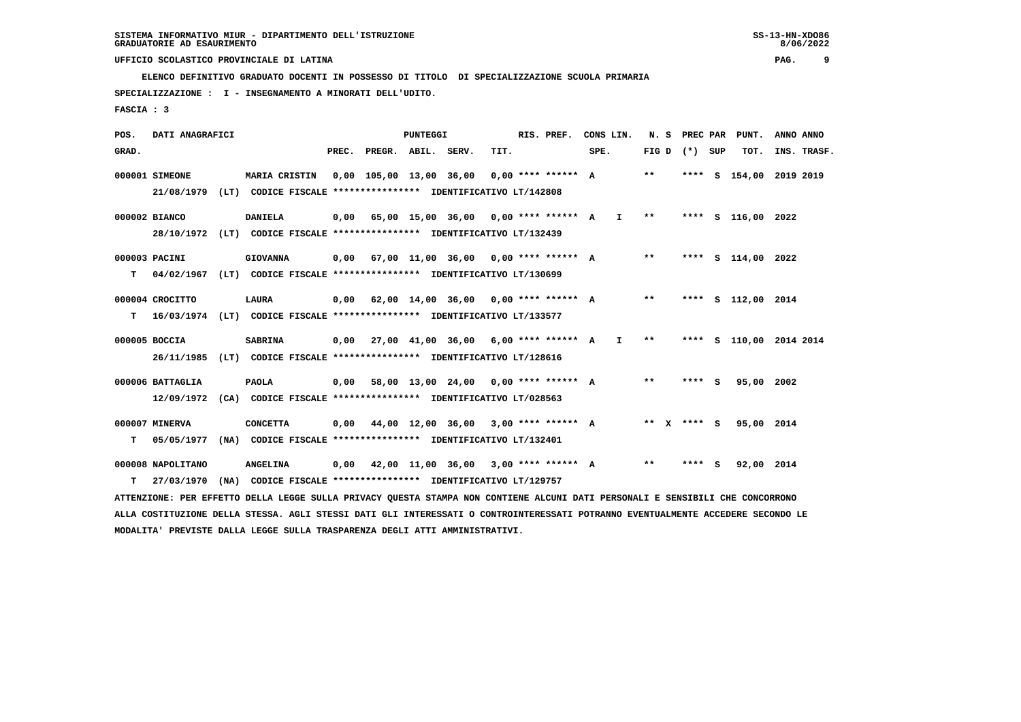**ELENCO DEFINITIVO GRADUATO DOCENTI IN POSSESSO DI TITOLO DI SPECIALIZZAZIONE SCUOLA PRIMARIA**

 **SPECIALIZZAZIONE : I - INSEGNAMENTO A MINORATI DELL'UDITO.**

 **FASCIA : 3**

| POS.  | DATI ANAGRAFICI   |                                                                                                                               |                          | <b>PUNTEGGI</b> |                                             |      | RIS. PREF. |      | CONS LIN.     | N.S   |                 | PREC PAR PUNT.          |           | ANNO ANNO   |
|-------|-------------------|-------------------------------------------------------------------------------------------------------------------------------|--------------------------|-----------------|---------------------------------------------|------|------------|------|---------------|-------|-----------------|-------------------------|-----------|-------------|
| GRAD. |                   |                                                                                                                               | PREC. PREGR. ABIL. SERV. |                 |                                             | TIT. |            | SPE. |               |       | FIG D $(*)$ SUP | TOT.                    |           | INS. TRASF. |
|       | 000001 SIMEONE    | <b>MARIA CRISTIN</b>                                                                                                          |                          |                 | 0,00 105,00 13,00 36,00 0,00 **** ****** A  |      |            |      |               | $* *$ |                 | **** S 154,00           | 2019 2019 |             |
|       | 21/08/1979        | (LT) CODICE FISCALE **************** IDENTIFICATIVO LT/142808                                                                 |                          |                 |                                             |      |            |      |               |       |                 |                         |           |             |
|       | 000002 BIANCO     | <b>DANIELA</b>                                                                                                                |                          |                 | $0,00$ 65,00 15,00 36,00 0,00 **** ****** A |      |            |      | $\mathbf{I}$  | $***$ |                 | **** S 116,00 2022      |           |             |
|       |                   | 28/10/1972 (LT) CODICE FISCALE **************** IDENTIFICATIVO LT/132439                                                      |                          |                 |                                             |      |            |      |               |       |                 |                         |           |             |
|       | 000003 PACINI     | <b>GIOVANNA</b>                                                                                                               |                          |                 | 0,00 67,00 11,00 36,00 0,00 **** ****** A   |      |            |      |               | $**$  |                 | **** S 114,00 2022      |           |             |
| т     | 04/02/1967        | (LT) CODICE FISCALE **************** IDENTIFICATIVO LT/130699                                                                 |                          |                 |                                             |      |            |      |               |       |                 |                         |           |             |
|       |                   |                                                                                                                               |                          |                 |                                             |      |            |      |               |       |                 |                         |           |             |
|       | 000004 CROCITTO   | LAURA                                                                                                                         |                          |                 | 0,00 62,00 14,00 36,00 0,00 **** ****** A   |      |            |      |               | $***$ |                 | **** S 112,00 2014      |           |             |
| т     |                   | 16/03/1974 (LT) CODICE FISCALE *************** IDENTIFICATIVO LT/133577                                                       |                          |                 |                                             |      |            |      |               |       |                 |                         |           |             |
|       | 000005 BOCCIA     | <b>SABRINA</b>                                                                                                                |                          |                 | $0,00$ 27,00 41,00 36,00 6,00 **** ****** A |      |            |      | $\mathbf{I}$  | $* *$ |                 | **** S 110,00 2014 2014 |           |             |
|       | 26/11/1985        | (LT) CODICE FISCALE **************** IDENTIFICATIVO LT/128616                                                                 |                          |                 |                                             |      |            |      |               |       |                 |                         |           |             |
|       | 000006 BATTAGLIA  | <b>PAOLA</b>                                                                                                                  |                          |                 | $0,00$ 58,00 13,00 24,00 0,00 **** ****** A |      |            |      |               | $**$  | **** $S$        | 95,00 2002              |           |             |
|       |                   | 12/09/1972 (CA) CODICE FISCALE *************** IDENTIFICATIVO LT/028563                                                       |                          |                 |                                             |      |            |      |               |       |                 |                         |           |             |
|       |                   |                                                                                                                               |                          |                 |                                             |      |            |      |               |       |                 |                         |           |             |
|       | 000007 MINERVA    | <b>CONCETTA</b>                                                                                                               |                          |                 | $0,00$ 44,00 12,00 36,00 3,00 **** ****** A |      |            |      | ** $X$ **** S |       |                 | 95,00 2014              |           |             |
| т     | 05/05/1977        | (NA) CODICE FISCALE **************** IDENTIFICATIVO LT/132401                                                                 |                          |                 |                                             |      |            |      |               |       |                 |                         |           |             |
|       | 000008 NAPOLITANO | <b>ANGELINA</b>                                                                                                               |                          |                 | $0,00$ 42,00 11,00 36,00 3,00 **** ****** A |      |            |      |               | $* *$ | **** S          | 92,00 2014              |           |             |
| т     | 27/03/1970        | (NA) CODICE FISCALE **************** IDENTIFICATIVO LT/129757                                                                 |                          |                 |                                             |      |            |      |               |       |                 |                         |           |             |
|       |                   | ATTENZIONE: PER EFFETTO DELLA LEGGE SULLA PRIVACY QUESTA STAMPA NON CONTIENE ALCUNI DATI PERSONALI E SENSIBILI CHE CONCORRONO |                          |                 |                                             |      |            |      |               |       |                 |                         |           |             |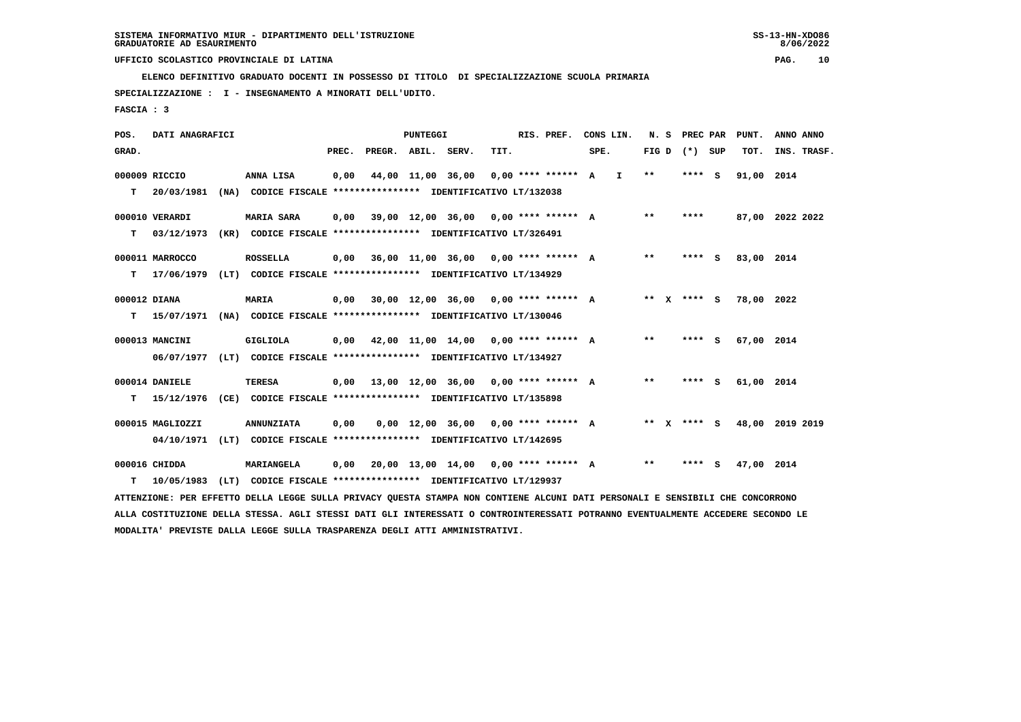**ELENCO DEFINITIVO GRADUATO DOCENTI IN POSSESSO DI TITOLO DI SPECIALIZZAZIONE SCUOLA PRIMARIA**

 **SPECIALIZZAZIONE : I - INSEGNAMENTO A MINORATI DELL'UDITO.**

 **FASCIA : 3**

| POS.         | DATI ANAGRAFICI  |                                                                                                                               |       |                    | <b>PUNTEGGI</b>   |                                             |      | RIS. PREF.             | CONS LIN. |              | N. S | PREC PAR          |          | PUNT.           | ANNO ANNO |             |
|--------------|------------------|-------------------------------------------------------------------------------------------------------------------------------|-------|--------------------|-------------------|---------------------------------------------|------|------------------------|-----------|--------------|------|-------------------|----------|-----------------|-----------|-------------|
| GRAD.        |                  |                                                                                                                               | PREC. | PREGR. ABIL. SERV. |                   |                                             | TIT. |                        | SPE.      |              |      | FIG $D$ $(*)$ SUP |          | TOT.            |           | INS. TRASF. |
|              | 000009 RICCIO    | ANNA LISA                                                                                                                     | 0,00  |                    | 44,00 11,00 36,00 |                                             |      | $0.00$ **** ****** A I |           | $* *$        |      | ****              | <b>S</b> | 91,00 2014      |           |             |
| т            | 20/03/1981       | (NA) CODICE FISCALE **************** IDENTIFICATIVO LT/132038                                                                 |       |                    |                   |                                             |      |                        |           |              |      |                   |          |                 |           |             |
|              | 000010 VERARDI   | <b>MARIA SARA</b>                                                                                                             | 0,00  |                    |                   | 39,00 12,00 36,00                           |      | $0.00$ **** ****** A   |           | $* *$        |      | ****              |          | 87,00 2022 2022 |           |             |
| т            | 03/12/1973       | (KR) CODICE FISCALE **************** IDENTIFICATIVO LT/326491                                                                 |       |                    |                   |                                             |      |                        |           |              |      |                   |          |                 |           |             |
|              | 000011 MARROCCO  | <b>ROSSELLA</b>                                                                                                               | 0.00  |                    |                   | 36,00 11,00 36,00 0,00 **** ****** A        |      |                        |           | $\star\star$ |      | **** S            |          | 83,00 2014      |           |             |
| т            | 17/06/1979       | (LT) CODICE FISCALE **************** IDENTIFICATIVO LT/134929                                                                 |       |                    |                   |                                             |      |                        |           |              |      |                   |          |                 |           |             |
| 000012 DIANA |                  | <b>MARIA</b>                                                                                                                  | 0,00  |                    |                   | 30,00 12,00 36,00                           |      | $0.00$ **** ****** A   |           |              |      | ** x **** S       |          | 78,00 2022      |           |             |
| т            | 15/07/1971       | (NA) CODICE FISCALE **************** IDENTIFICATIVO LT/130046                                                                 |       |                    |                   |                                             |      |                        |           |              |      |                   |          |                 |           |             |
|              | 000013 MANCINI   | <b>GIGLIOLA</b>                                                                                                               |       |                    |                   | $0,00$ 42,00 11,00 14,00 0,00 **** ****** A |      |                        |           | **           |      | $***$ S           |          | 67,00 2014      |           |             |
|              |                  | 06/07/1977 (LT) CODICE FISCALE *************** IDENTIFICATIVO LT/134927                                                       |       |                    |                   |                                             |      |                        |           |              |      |                   |          |                 |           |             |
|              | 000014 DANIELE   | <b>TERESA</b>                                                                                                                 | 0,00  |                    |                   | 13,00 12,00 36,00 0,00 **** ****** A        |      |                        |           | **           |      | **** S            |          | 61,00 2014      |           |             |
| т            | 15/12/1976       | (CE) CODICE FISCALE **************** IDENTIFICATIVO LT/135898                                                                 |       |                    |                   |                                             |      |                        |           |              |      |                   |          |                 |           |             |
|              | 000015 MAGLIOZZI | <b>ANNUNZIATA</b>                                                                                                             | 0,00  |                    |                   | $0,00$ 12,00 36,00 0,00 **** ****** A       |      |                        |           |              |      | ** x **** S       |          | 48,00 2019 2019 |           |             |
|              |                  | 04/10/1971 (LT) CODICE FISCALE *************** IDENTIFICATIVO LT/142695                                                       |       |                    |                   |                                             |      |                        |           |              |      |                   |          |                 |           |             |
|              | 000016 CHIDDA    | MARIANGELA                                                                                                                    | 0,00  |                    |                   | 20,00 13,00 14,00 0,00 **** ****** A        |      |                        |           | **           |      | **** S            |          | 47,00 2014      |           |             |
| т            | 10/05/1983       | (LT) CODICE FISCALE **************** IDENTIFICATIVO LT/129937                                                                 |       |                    |                   |                                             |      |                        |           |              |      |                   |          |                 |           |             |
|              |                  | ATTENZIONE: PER EFFETTO DELLA LEGGE SULLA PRIVACY QUESTA STAMPA NON CONTIENE ALCUNI DATI PERSONALI E SENSIBILI CHE CONCORRONO |       |                    |                   |                                             |      |                        |           |              |      |                   |          |                 |           |             |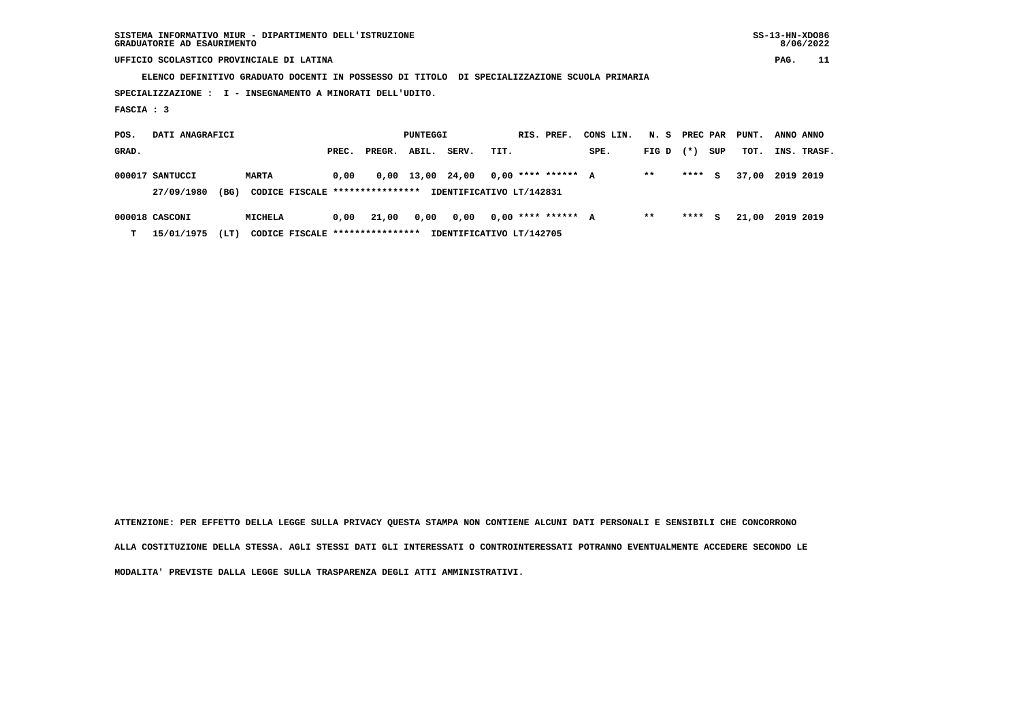**SISTEMA INFORMATIVO MIUR - DIPARTIMENTO DELL'ISTRUZIONE SS-13-HN-XDO86 GRADUATORIE AD ESAURIMENTO 8/06/2022**

## **UFFICIO SCOLASTICO PROVINCIALE DI LATINA PAG. 11**

 **ELENCO DEFINITIVO GRADUATO DOCENTI IN POSSESSO DI TITOLO DI SPECIALIZZAZIONE SCUOLA PRIMARIA**

 **SPECIALIZZAZIONE : I - INSEGNAMENTO A MINORATI DELL'UDITO.**

 **FASCIA : 3**

| POS.  | DATI ANAGRAFICI    |                                 |       |        | PUNTEGGI         |       |      | RIS. PREF.               | CONS LIN. | N. S PREC PAR |        |     | PUNT. | ANNO ANNO   |  |
|-------|--------------------|---------------------------------|-------|--------|------------------|-------|------|--------------------------|-----------|---------------|--------|-----|-------|-------------|--|
| GRAD. |                    |                                 | PREC. | PREGR. | ABIL.            | SERV. | TIT. |                          | SPE.      | $FIG D (*)$   |        | SUP | тот.  | INS. TRASF. |  |
|       | 000017 SANTUCCI    | <b>MARTA</b>                    | 0.00  |        | 0,00 13,00 24,00 |       |      | $0.00$ **** ****** A     |           | $* *$         | **** S |     | 37,00 | 2019 2019   |  |
|       | (BG)<br>27/09/1980 | CODICE FISCALE **************** |       |        |                  |       |      | IDENTIFICATIVO LT/142831 |           |               |        |     |       |             |  |
|       | 000018 CASCONI     | <b>MICHELA</b>                  | 0,00  | 21,00  | 0,00             | 0,00  |      | $0.00$ **** ****** A     |           | **            | ****   | S.  | 21,00 | 2019 2019   |  |

 **T 15/01/1975 (LT) CODICE FISCALE \*\*\*\*\*\*\*\*\*\*\*\*\*\*\*\* IDENTIFICATIVO LT/142705**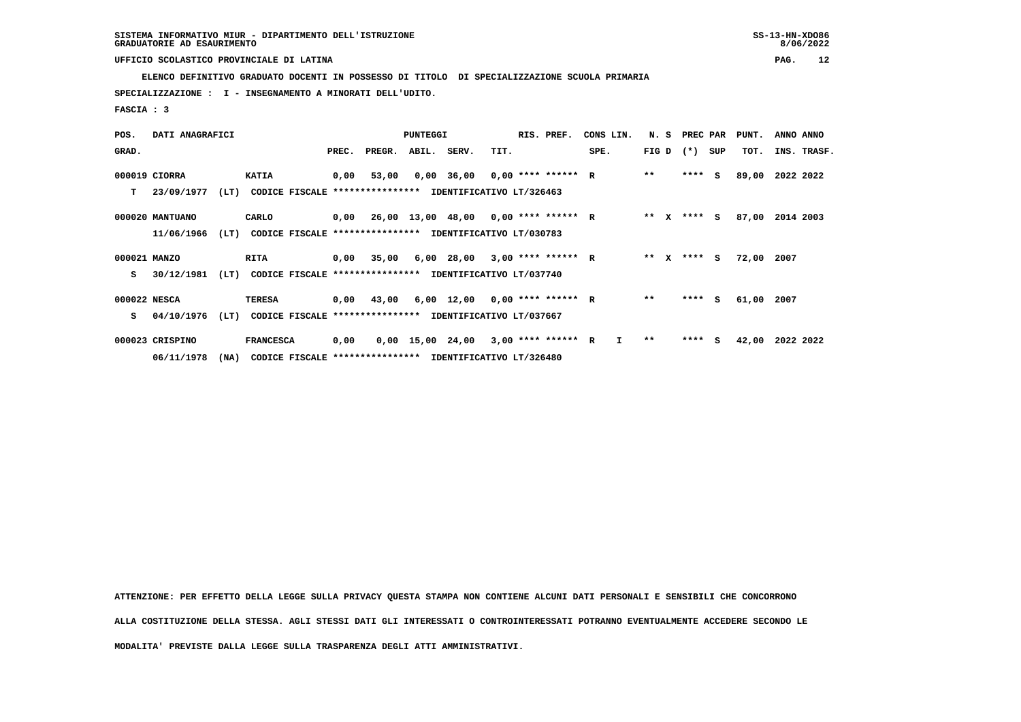**ELENCO DEFINITIVO GRADUATO DOCENTI IN POSSESSO DI TITOLO DI SPECIALIZZAZIONE SCUOLA PRIMARIA**

 **SPECIALIZZAZIONE : I - INSEGNAMENTO A MINORATI DELL'UDITO.**

 **FASCIA : 3**

| POS.         | DATI ANAGRAFICI |      |                                                          |       |                                             | <b>PUNTEGGI</b> |                                       |      | RIS. PREF. | CONS LIN.    |        | N. S PREC PAR |     | PUNT. | ANNO ANNO   |
|--------------|-----------------|------|----------------------------------------------------------|-------|---------------------------------------------|-----------------|---------------------------------------|------|------------|--------------|--------|---------------|-----|-------|-------------|
| GRAD.        |                 |      |                                                          | PREC. | PREGR.                                      | ABIL.           | SERV.                                 | TIT. |            | SPE.         | FIG D  | $(*)$         | SUP | TOT.  | INS. TRASF. |
|              | 000019 CIORRA   |      | <b>KATIA</b>                                             | 0,00  | 53,00                                       |                 | $0,00$ 36,00 0,00 **** ****** R       |      |            |              | $***$  | $***$ S       |     | 89,00 | 2022 2022   |
| т            | 23/09/1977      | (LT) | CODICE FISCALE **************** IDENTIFICATIVO LT/326463 |       |                                             |                 |                                       |      |            |              |        |               |     |       |             |
|              | 000020 MANTUANO |      | CARLO                                                    |       | $0,00$ 26,00 13,00 48,00 0,00 **** ****** R |                 |                                       |      |            |              | ** X   | **** S        |     | 87,00 | 2014 2003   |
|              | 11/06/1966      | (LT) | CODICE FISCALE **************** IDENTIFICATIVO LT/030783 |       |                                             |                 |                                       |      |            |              |        |               |     |       |             |
| 000021 MANZO |                 |      | RITA                                                     |       | 0,00 35,00                                  |                 | 6,00 28,00 3,00 **** ****** R         |      |            |              | ** $X$ | **** S        |     | 72,00 | 2007        |
| s            | 30/12/1981      | (LT) | CODICE FISCALE **************** IDENTIFICATIVO LT/037740 |       |                                             |                 |                                       |      |            |              |        |               |     |       |             |
| 000022 NESCA |                 |      | <b>TERESA</b>                                            |       | $0,00$ 43,00                                |                 | $6,00$ 12,00 0,00 **** ****** R       |      |            |              | $* *$  | $***$ S       |     | 61,00 | 2007        |
| s            | 04/10/1976      | (LT) | CODICE FISCALE **************** IDENTIFICATIVO LT/037667 |       |                                             |                 |                                       |      |            |              |        |               |     |       |             |
|              | 000023 CRISPINO |      | <b>FRANCESCA</b>                                         | 0,00  |                                             |                 | $0,00$ 15,00 24,00 3,00 **** ****** R |      |            | $\mathbf{I}$ | $***$  | **** S        |     | 42,00 | 2022 2022   |
|              | 06/11/1978      | (NA) | CODICE FISCALE **************** IDENTIFICATIVO LT/326480 |       |                                             |                 |                                       |      |            |              |        |               |     |       |             |

 **ATTENZIONE: PER EFFETTO DELLA LEGGE SULLA PRIVACY QUESTA STAMPA NON CONTIENE ALCUNI DATI PERSONALI E SENSIBILI CHE CONCORRONO ALLA COSTITUZIONE DELLA STESSA. AGLI STESSI DATI GLI INTERESSATI O CONTROINTERESSATI POTRANNO EVENTUALMENTE ACCEDERE SECONDO LE**

 **MODALITA' PREVISTE DALLA LEGGE SULLA TRASPARENZA DEGLI ATTI AMMINISTRATIVI.**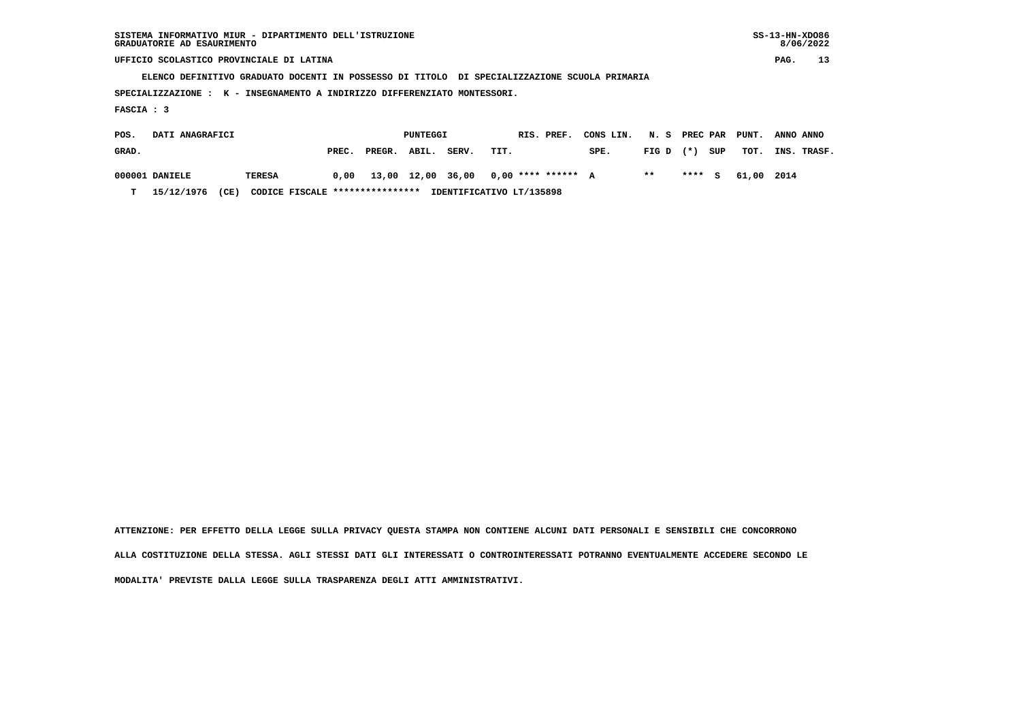| SISTEMA INFORMATIVO MIUR - DIPARTIMENTO DELL'ISTRUZIONE | $SS-13-HN-XDO86$ |
|---------------------------------------------------------|------------------|
| GRADUATORIE AD ESAURIMENTO                              | 8/06/2022        |

 **ELENCO DEFINITIVO GRADUATO DOCENTI IN POSSESSO DI TITOLO DI SPECIALIZZAZIONE SCUOLA PRIMARIA**

 **SPECIALIZZAZIONE : K - INSEGNAMENTO A INDIRIZZO DIFFERENZIATO MONTESSORI.**

 **FASCIA : 3**

| POS.  | DATI ANAGRAFICI |      |                                 | PUNTEGGI |        |       |       | RIS. PREF.                                  | CONS LIN. N. S PREC PAR PUNT. |             |        |     |            | ANNO ANNO   |  |
|-------|-----------------|------|---------------------------------|----------|--------|-------|-------|---------------------------------------------|-------------------------------|-------------|--------|-----|------------|-------------|--|
| GRAD. |                 |      |                                 | PREC.    | PREGR. | ABIL. | SERV. | TIT.                                        | SPE.                          | FIG D $(*)$ |        | SUP | тот.       | INS. TRASF. |  |
|       | 000001 DANIELE  |      | TERESA                          |          |        |       |       | $0,00$ 13,00 12,00 36,00 0,00 **** ****** A |                               | $* *$       | **** S |     | 61.00 2014 |             |  |
| т     | 15/12/1976      | (CE) | CODICE FISCALE **************** |          |        |       |       | IDENTIFICATIVO LT/135898                    |                               |             |        |     |            |             |  |